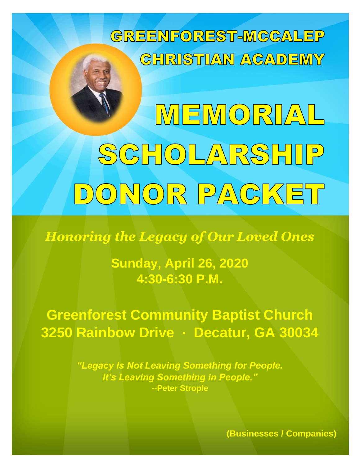

MEMORIAL SCHOLARSHIP DONOR PACKET

*Honoring the Legacy of Our Loved Ones*

**Sunday, April 26, 2020 4:30-6:30 P.M.**

**Greenforest Community Baptist Church 3250 Rainbow Drive ∙ Decatur, GA 30034**

> *"Legacy Is Not Leaving Something for People. It's Leaving Something in People."* **--Peter Strople**

> > **(Businesses / Companies)**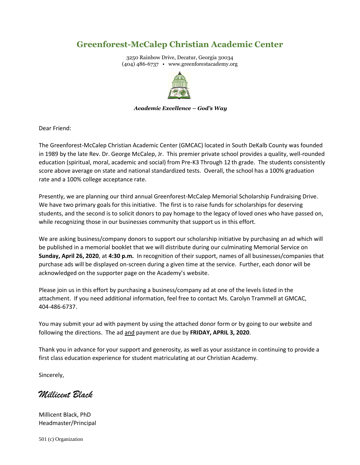## **Greenforest-McCalep Christian Academic Center**

3250 Rainbow Drive, Decatur, Georgia 30034 (404) 486-6737 • www.greenforestacademy.org



#### *Academic Excellence – God's Way*

Dear Friend:

The Greenforest-McCalep Christian Academic Center (GMCAC) located in South DeKalb County was founded in 1989 by the late Rev. Dr. George McCalep, Jr. This premier private school provides a quality, well-rounded education (spiritual, moral, academic and social) from Pre-K3 Through 12 th grade. The students consistently score above average on state and national standardized tests. Overall, the school has a 100% graduation rate and a 100% college acceptance rate.

Presently, we are planning our third annual Greenforest-McCalep Memorial Scholarship Fundraising Drive. We have two primary goals for this initiative. The first is to raise funds for scholarships for deserving students, and the second is to solicit donors to pay homage to the legacy of loved ones who have passed on, while recognizing those in our businesses community that support us in this effort.

We are asking business/company donors to support our scholarship initiative by purchasing an ad which will be published in a memorial booklet that we will distribute during our culminating Memorial Service on **Sunday, April 26, 2020**, at **4:30 p.m.** In recognition of their support, names of all businesses/companies that purchase ads will be displayed on-screen during a given time at the service. Further, each donor will be acknowledged on the supporter page on the Academy's website.

Please join us in this effort by purchasing a business/company ad at one of the levels listed in the attachment. If you need additional information, feel free to contact Ms. Carolyn Trammell at GMCAC, 404-486-6737.

You may submit your ad with payment by using the attached donor form or by going to our website and following the directions. The ad and payment are due by **FRIDAY, APRIL 3, 2020**.

Thank you in advance for your support and generosity, as well as your assistance in continuing to provide a first class education experience for student matriculating at our Christian Academy.

Sincerely,

*Millicent Black*

Millicent Black, PhD Headmaster/Principal

501 (c) Organization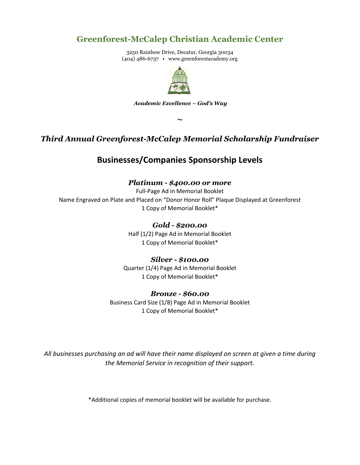### **Greenforest-McCalep Christian Academic Center**

3250 Rainbow Drive, Decatur, Georgia 30034 (404) 486-6737 • www.greenforestacademy.org



*Academic Excellence – God's Way*

**~**

### *Third Annual Greenforest-McCalep Memorial Scholarship Fundraiser*

### **Businesses/Companies Sponsorship Levels**

#### *Platinum - \$400.00 or more*

Full-Page Ad in Memorial Booklet Name Engraved on Plate and Placed on "Donor Honor Roll" Plaque Displayed at Greenforest 1 Copy of Memorial Booklet\*

*Gold - \$200.00*

Half (1/2) Page Ad in Memorial Booklet 1 Copy of Memorial Booklet\*

#### *Silver - \$100.00*

Quarter (1/4) Page Ad in Memorial Booklet 1 Copy of Memorial Booklet\*

#### *Bronze - \$60.00*

Business Card Size (1/8) Page Ad in Memorial Booklet 1 Copy of Memorial Booklet\*

*All businesses purchasing an ad will have their name displayed on screen at given a time during the Memorial Service in recognition of their support.*

\*Additional copies of memorial booklet will be available for purchase.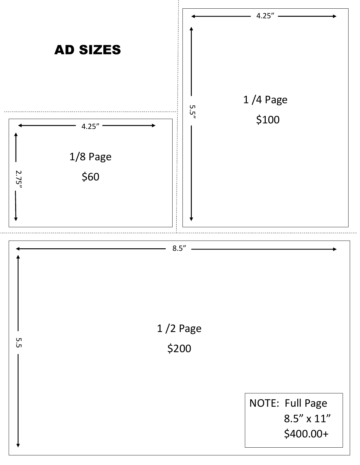